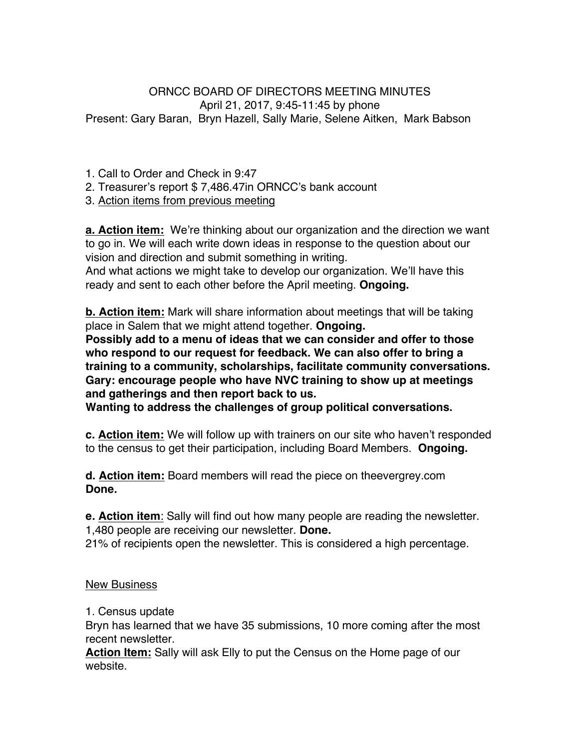## ORNCC BOARD OF DIRECTORS MEETING MINUTES April 21, 2017, 9:45-11:45 by phone Present: Gary Baran, Bryn Hazell, Sally Marie, Selene Aitken, Mark Babson

- 1. Call to Order and Check in 9:47
- 2. Treasurer's report \$ 7,486.47in ORNCC's bank account
- 3. Action items from previous meeting

**a. Action item:** We're thinking about our organization and the direction we want to go in. We will each write down ideas in response to the question about our vision and direction and submit something in writing.

And what actions we might take to develop our organization. We'll have this ready and sent to each other before the April meeting. **Ongoing.**

**b. Action item:** Mark will share information about meetings that will be taking place in Salem that we might attend together. **Ongoing.**

**Possibly add to a menu of ideas that we can consider and offer to those who respond to our request for feedback. We can also offer to bring a training to a community, scholarships, facilitate community conversations. Gary: encourage people who have NVC training to show up at meetings and gatherings and then report back to us.**

**Wanting to address the challenges of group political conversations.**

**c. Action item:** We will follow up with trainers on our site who haven't responded to the census to get their participation, including Board Members. **Ongoing.**

**d. Action item:** Board members will read the piece on theevergrey.com **Done.**

**e. Action item**: Sally will find out how many people are reading the newsletter. 1,480 people are receiving our newsletter. **Done.**

21% of recipients open the newsletter. This is considered a high percentage.

## New Business

1. Census update

Bryn has learned that we have 35 submissions, 10 more coming after the most recent newsletter.

**Action Item:** Sally will ask Elly to put the Census on the Home page of our website.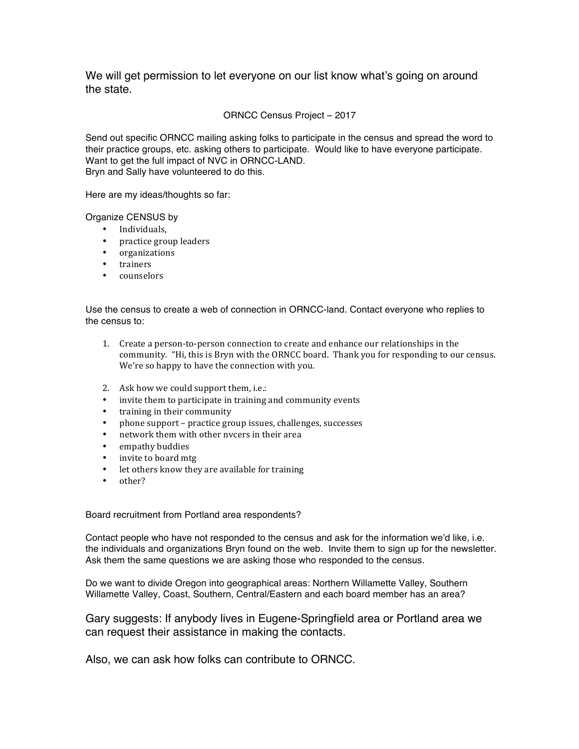We will get permission to let everyone on our list know what's going on around the state.

ORNCC Census Project – 2017

Send out specific ORNCC mailing asking folks to participate in the census and spread the word to their practice groups, etc. asking others to participate. Would like to have everyone participate. Want to get the full impact of NVC in ORNCC-LAND. Bryn and Sally have volunteered to do this.

Here are my ideas/thoughts so far:

Organize CENSUS by

- Individuals,
- practice group leaders
- organizations
- trainers
- counselors

Use the census to create a web of connection in ORNCC-land. Contact everyone who replies to the census to:

- 1. Create a person-to-person connection to create and enhance our relationships in the community. "Hi, this is Bryn with the ORNCC board. Thank you for responding to our census. We're so happy to have the connection with you.
- 2. Ask how we could support them, i.e.:
- invite them to participate in training and community events
- training in their community
- phone support practice group issues, challenges, successes
- network them with other nycers in their area
- empathy buddies
- invite to board mtg
- let others know they are available for training
- other?

Board recruitment from Portland area respondents?

Contact people who have not responded to the census and ask for the information we'd like, i.e. the individuals and organizations Bryn found on the web. Invite them to sign up for the newsletter. Ask them the same questions we are asking those who responded to the census.

Do we want to divide Oregon into geographical areas: Northern Willamette Valley, Southern Willamette Valley, Coast, Southern, Central/Eastern and each board member has an area?

Gary suggests: If anybody lives in Eugene-Springfield area or Portland area we can request their assistance in making the contacts.

Also, we can ask how folks can contribute to ORNCC.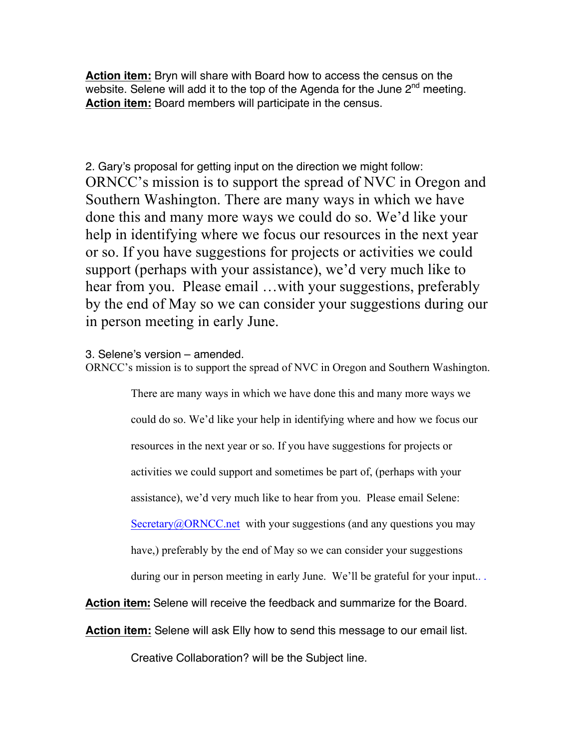**Action item:** Bryn will share with Board how to access the census on the website. Selene will add it to the top of the Agenda for the June  $2<sup>nd</sup>$  meeting. **Action item:** Board members will participate in the census.

2. Gary's proposal for getting input on the direction we might follow: ORNCC's mission is to support the spread of NVC in Oregon and Southern Washington. There are many ways in which we have done this and many more ways we could do so. We'd like your help in identifying where we focus our resources in the next year or so. If you have suggestions for projects or activities we could support (perhaps with your assistance), we'd very much like to hear from you. Please email ... with your suggestions, preferably by the end of May so we can consider your suggestions during our in person meeting in early June.

## 3. Selene's version – amended.

ORNCC's mission is to support the spread of NVC in Oregon and Southern Washington.

There are many ways in which we have done this and many more ways we could do so. We'd like your help in identifying where and how we focus our resources in the next year or so. If you have suggestions for projects or activities we could support and sometimes be part of, (perhaps with your assistance), we'd very much like to hear from you. Please email Selene: Secretary $@$ ORNCC.net with your suggestions (and any questions you may have,) preferably by the end of May so we can consider your suggestions during our in person meeting in early June. We'll be grateful for your input.. .

**Action item:** Selene will receive the feedback and summarize for the Board.

**Action item:** Selene will ask Elly how to send this message to our email list.

Creative Collaboration? will be the Subject line.